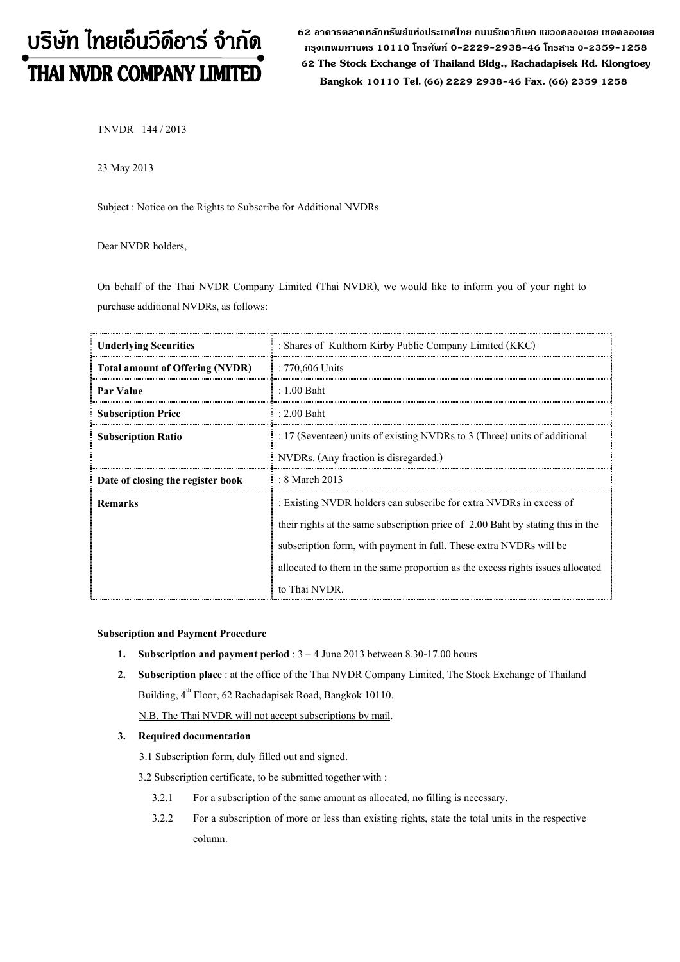# บริษัท ไทยเอ็นวีดีอาร์ จำกัด THAI NVDR COMPANY LIMITED

62 อาดารตลาดหลักทรัพย์แห่งประเทศไทย ถนนรัซดาภิเษก แขวงดลองเตย เขตดลองเตย กรุงเทพมหานดร 10110 โทรศัพท์ 0-2229-2938-46 โทรสาร 0-2359-1258 62 The Stock Exchange of Thailand Bldg., Rachadapisek Rd. Klongtoey Bangkok <sup>10110</sup> Tel. (66) 2229 2938-46 Fax. (66) 2359 1258

TNVDR 144 / 2013

23 May 2013

Subject : Notice on the Rights to Subscribe for Additional NVDRs

Dear NVDR holders,

On behalf of the Thai NVDR Company Limited (Thai NVDR), we would like to inform you of your right to purchase additional NVDRs, as follows:

| <b>Underlying Securities</b>           | : Shares of Kulthorn Kirby Public Company Limited (KKC)                         |  |  |
|----------------------------------------|---------------------------------------------------------------------------------|--|--|
| <b>Total amount of Offering (NVDR)</b> | $: 770,606$ Units                                                               |  |  |
| Par Value                              | $: 1.00$ Baht                                                                   |  |  |
| <b>Subscription Price</b>              | $: 2.00$ Baht                                                                   |  |  |
| <b>Subscription Ratio</b>              | : 17 (Seventeen) units of existing NVDRs to 3 (Three) units of additional       |  |  |
|                                        | NVDRs. (Any fraction is disregarded.)                                           |  |  |
| Date of closing the register book      | : 8 March 2013                                                                  |  |  |
| <b>Remarks</b>                         | : Existing NVDR holders can subscribe for extra NVDRs in excess of              |  |  |
|                                        | their rights at the same subscription price of 2.00 Baht by stating this in the |  |  |
|                                        | subscription form, with payment in full. These extra NVDRs will be              |  |  |
|                                        | allocated to them in the same proportion as the excess rights issues allocated  |  |  |
|                                        | to Thai NVDR.                                                                   |  |  |

#### Subscription and Payment Procedure

- 1. Subscription and payment period :  $3 4$  June 2013 between 8.30-17.00 hours
- 2. Subscription place : at the office of the Thai NVDR Company Limited, The Stock Exchange of Thailand Building, 4<sup>th</sup> Floor, 62 Rachadapisek Road, Bangkok 10110. N.B. The Thai NVDR will not accept subscriptions by mail.

## 3. Required documentation

- 3.1 Subscription form, duly filled out and signed.
- 3.2 Subscription certificate, to be submitted together with :
	- 3.2.1 For a subscription of the same amount as allocated, no filling is necessary.
	- 3.2.2 For a subscription of more or less than existing rights, state the total units in the respective column.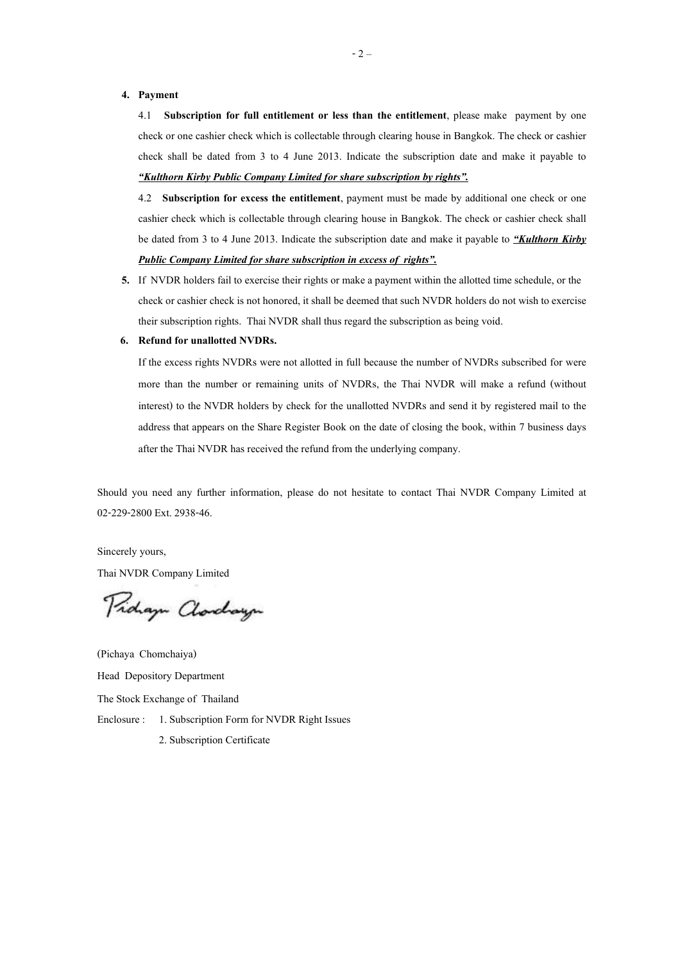#### 4. Payment

4.1 Subscription for full entitlement or less than the entitlement, please make payment by one check or one cashier check which is collectable through clearing house in Bangkok. The check or cashier check shall be dated from 3 to 4 June 2013. Indicate the subscription date and make it payable to "Kulthorn Kirby Public Company Limited for share subscription by rights".

4.2 Subscription for excess the entitlement, payment must be made by additional one check or one cashier check which is collectable through clearing house in Bangkok. The check or cashier check shall be dated from 3 to 4 June 2013. Indicate the subscription date and make it payable to *Kulthorn Kirby* Public Company Limited for share subscription in excess of rights".

5. If NVDR holders fail to exercise their rights or make a payment within the allotted time schedule, or the check or cashier check is not honored, it shall be deemed that such NVDR holders do not wish to exercise their subscription rights. Thai NVDR shall thus regard the subscription as being void.

#### 6. Refund for unallotted NVDRs.

If the excess rights NVDRs were not allotted in full because the number of NVDRs subscribed for were more than the number or remaining units of NVDRs, the Thai NVDR will make a refund (without interest) to the NVDR holders by check for the unallotted NVDRs and send it by registered mail to the address that appears on the Share Register Book on the date of closing the book, within 7 business days after the Thai NVDR has received the refund from the underlying company.

Should you need any further information, please do not hesitate to contact Thai NVDR Company Limited at 02-229-2800 Ext. 2938-46.

Sincerely yours,

Thai NVDR Company Limited

Proham Clarchaugh

(Pichaya Chomchaiya) Head Depository Department The Stock Exchange of Thailand Enclosure : 1. Subscription Form for NVDR Right Issues 2. Subscription Certificate